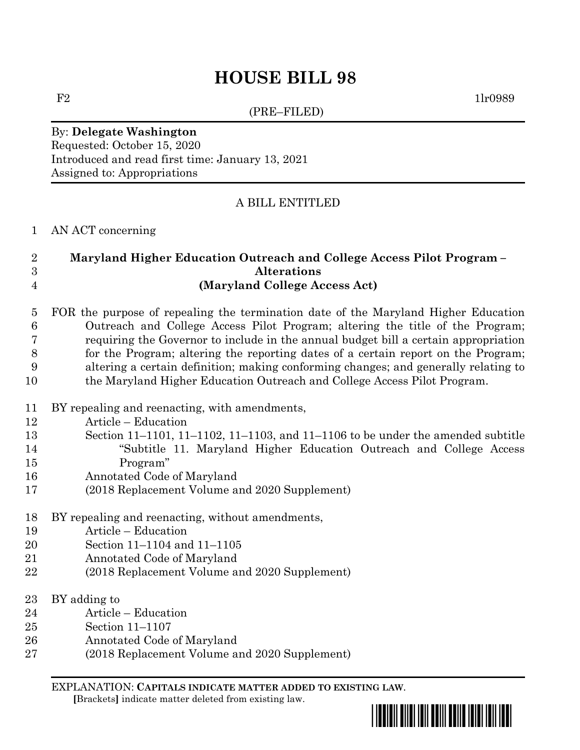# **HOUSE BILL 98**

(PRE–FILED)

 $F2$  1lr0989

By: **Delegate Washington** Requested: October 15, 2020 Introduced and read first time: January 13, 2021 Assigned to: Appropriations

### A BILL ENTITLED

AN ACT concerning

#### **Maryland Higher Education Outreach and College Access Pilot Program – Alterations (Maryland College Access Act)**

#### FOR the purpose of repealing the termination date of the Maryland Higher Education Outreach and College Access Pilot Program; altering the title of the Program; requiring the Governor to include in the annual budget bill a certain appropriation for the Program; altering the reporting dates of a certain report on the Program; altering a certain definition; making conforming changes; and generally relating to the Maryland Higher Education Outreach and College Access Pilot Program.

- BY repealing and reenacting, with amendments,
- Article Education
- Section 11–1101, 11–1102, 11–1103, and 11–1106 to be under the amended subtitle "Subtitle 11. Maryland Higher Education Outreach and College Access Program"
- Annotated Code of Maryland
- (2018 Replacement Volume and 2020 Supplement)
- BY repealing and reenacting, without amendments,
- Article Education
- Section 11–1104 and 11–1105
- Annotated Code of Maryland
- (2018 Replacement Volume and 2020 Supplement)
- BY adding to
- Article Education
- Section 11–1107
- Annotated Code of Maryland
- (2018 Replacement Volume and 2020 Supplement)

EXPLANATION: **CAPITALS INDICATE MATTER ADDED TO EXISTING LAW**.  **[**Brackets**]** indicate matter deleted from existing law.

\*hb0098\*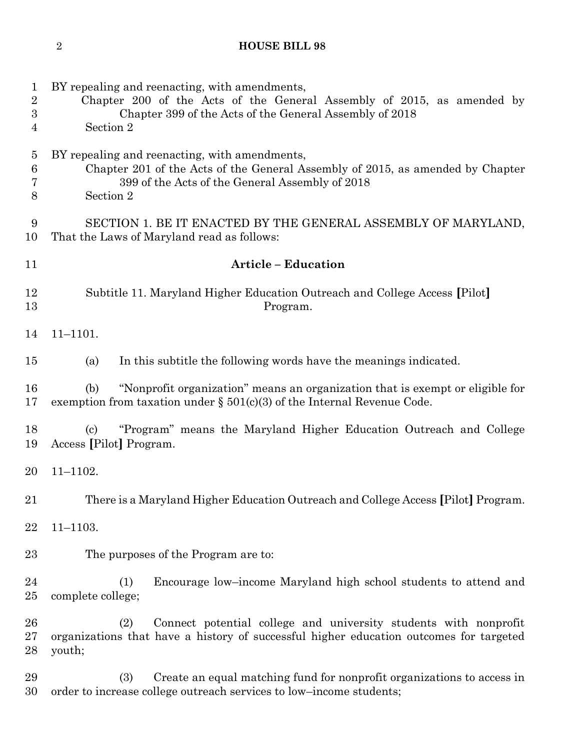## **HOUSE BILL 98**

| $\mathbf 1$<br>$\sqrt{2}$<br>$\boldsymbol{3}$<br>$\overline{4}$ | BY repealing and reenacting, with amendments,<br>Chapter 200 of the Acts of the General Assembly of 2015, as amended by<br>Chapter 399 of the Acts of the General Assembly of 2018<br>Section 2 |  |  |
|-----------------------------------------------------------------|-------------------------------------------------------------------------------------------------------------------------------------------------------------------------------------------------|--|--|
| $\overline{5}$<br>6<br>7<br>8                                   | BY repealing and reenacting, with amendments,<br>Chapter 201 of the Acts of the General Assembly of 2015, as amended by Chapter<br>399 of the Acts of the General Assembly of 2018<br>Section 2 |  |  |
| 9<br>10                                                         | SECTION 1. BE IT ENACTED BY THE GENERAL ASSEMBLY OF MARYLAND,<br>That the Laws of Maryland read as follows:                                                                                     |  |  |
| 11                                                              | <b>Article - Education</b>                                                                                                                                                                      |  |  |
| 12<br>13                                                        | Subtitle 11. Maryland Higher Education Outreach and College Access [Pilot]<br>Program.                                                                                                          |  |  |
| 14                                                              | $11 - 1101.$                                                                                                                                                                                    |  |  |
| 15                                                              | In this subtitle the following words have the meanings indicated.<br>(a)                                                                                                                        |  |  |
| 16<br>17                                                        | "Nonprofit organization" means an organization that is exempt or eligible for<br>(b)<br>exemption from taxation under $\S$ 501(c)(3) of the Internal Revenue Code.                              |  |  |
| 18<br>19                                                        | "Program" means the Maryland Higher Education Outreach and College<br>$\left( \text{c}\right)$<br>Access [Pilot] Program.                                                                       |  |  |
| 20                                                              | $11 - 1102.$                                                                                                                                                                                    |  |  |
| 21                                                              | There is a Maryland Higher Education Outreach and College Access [Pilot] Program.                                                                                                               |  |  |
| 22                                                              | $11 - 1103.$                                                                                                                                                                                    |  |  |
| 23                                                              | The purposes of the Program are to:                                                                                                                                                             |  |  |
| 24<br>25                                                        | Encourage low-income Maryland high school students to attend and<br>(1)<br>complete college;                                                                                                    |  |  |
| 26<br>27<br>28                                                  | Connect potential college and university students with nonprofit<br>(2)<br>organizations that have a history of successful higher education outcomes for targeted<br>youth;                     |  |  |
| 29<br>30                                                        | Create an equal matching fund for nonprofit organizations to access in<br>(3)<br>order to increase college outreach services to low-income students;                                            |  |  |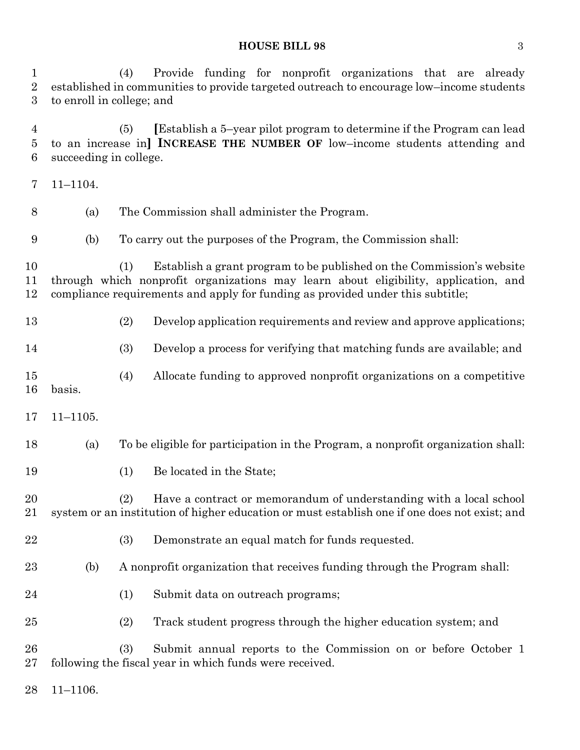#### **HOUSE BILL 98** 3

 (4) Provide funding for nonprofit organizations that are already established in communities to provide targeted outreach to encourage low–income students to enroll in college; and

 (5) **[**Establish a 5–year pilot program to determine if the Program can lead to an increase in**] INCREASE THE NUMBER OF** low–income students attending and succeeding in college.

- 11–1104. (a) The Commission shall administer the Program. (b) To carry out the purposes of the Program, the Commission shall: (1) Establish a grant program to be published on the Commission's website
	- through which nonprofit organizations may learn about eligibility, application, and compliance requirements and apply for funding as provided under this subtitle;
	- (2) Develop application requirements and review and approve applications;
	- (3) Develop a process for verifying that matching funds are available; and
	- (4) Allocate funding to approved nonprofit organizations on a competitive basis.
	- 11–1105.
	- (a) To be eligible for participation in the Program, a nonprofit organization shall:
	- (1) Be located in the State;
	- (2) Have a contract or memorandum of understanding with a local school system or an institution of higher education or must establish one if one does not exist; and
	- (3) Demonstrate an equal match for funds requested.
	- (b) A nonprofit organization that receives funding through the Program shall:
	- 24 (1) Submit data on outreach programs;
	- (2) Track student progress through the higher education system; and

 (3) Submit annual reports to the Commission on or before October 1 following the fiscal year in which funds were received.

11–1106.